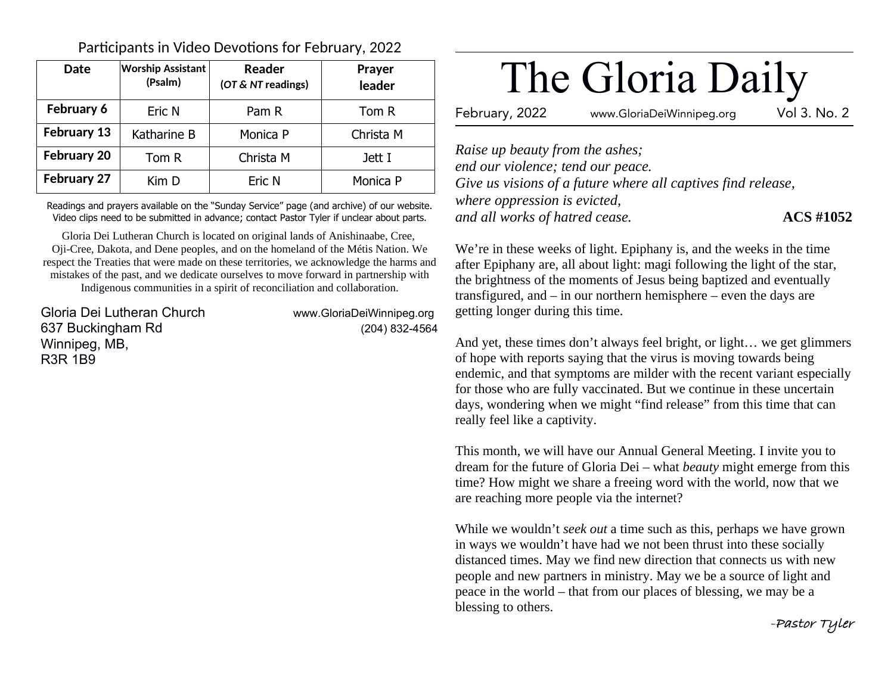| Date               | <b>Worship Assistant</b><br>(Psalm) | Reader<br>(OT & NT readings) | <b>Prayer</b><br>leader |
|--------------------|-------------------------------------|------------------------------|-------------------------|
| February 6         | Eric N                              | Pam R                        | Tom R                   |
| February 13        | Katharine B                         | Monica P                     | Christa M               |
| <b>February 20</b> | Tom R                               | Christa M                    | Jett I                  |
| <b>February 27</b> | Kim D                               | Eric N                       | Monica P                |

Participants in Video Devotions for February, 2022

Readings and prayers available on the "Sunday Service" page (and archive) of our website. Video clips need to be submitted in advance; contact Pastor Tyler if unclear about parts.

Gloria Dei Lutheran Church is located on original lands of Anishinaabe, Cree, Oji-Cree, Dakota, and Dene peoples, and on the homeland of the Métis Nation. We respect the Treaties that were made on these territories, we acknowledge the harms and mistakes of the past, and we dedicate ourselves to move forward in partnership with Indigenous communities in a spirit of reconciliation and collaboration.

Gloria Dei Lutheran Church www.GloriaDeiWinnipeg.org 637 Buckingham Rd (204) 832-4564 Winnipeg, MB, R3R 1B9

# The Gloria Daily

February, 2022 www.GloriaDeiWinnipeg.org Vol 3. No. 2

*Raise up beauty from the ashes; end our violence; tend our peace. Give us visions of a future where all captives find release, where oppression is evicted, and all works of hatred cease.* **ACS #1052**

We're in these weeks of light. Epiphany is, and the weeks in the time after Epiphany are, all about light: magi following the light of the star, the brightness of the moments of Jesus being baptized and eventually transfigured, and – in our northern hemisphere – even the days are getting longer during this time.

And yet, these times don't always feel bright, or light… we get glimmers of hope with reports saying that the virus is moving towards being endemic, and that symptoms are milder with the recent variant especially for those who are fully vaccinated. But we continue in these uncertain days, wondering when we might "find release" from this time that can really feel like a captivity.

This month, we will have our Annual General Meeting. I invite you to dream for the future of Gloria Dei – what *beauty* might emerge from this time? How might we share a freeing word with the world, now that we are reaching more people via the internet?

While we wouldn't *seek out* a time such as this, perhaps we have grown in ways we wouldn't have had we not been thrust into these socially distanced times. May we find new direction that connects us with new people and new partners in ministry. May we be a source of light and peace in the world – that from our places of blessing, we may be a blessing to others.

**-Pastor Tyler**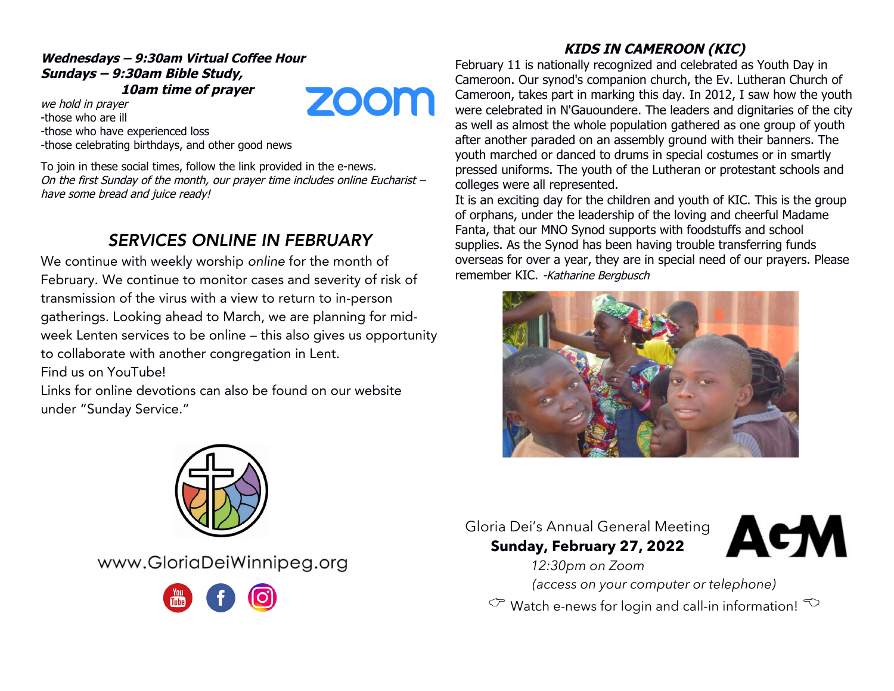## **Wednesdays – 9:30am Virtual Coffee Hour Sundays – 9:30am Bible Study, 10am time of prayer ZOOM**

we hold in prayer -those who are ill -those who have experienced loss -those celebrating birthdays, and other good news

To join in these social times, follow the link provided in the e-news. On the first Sunday of the month, our prayer time includes online Eucharist – have some bread and juice ready!

# SERVICES ONLINE IN FEBRUARY

We continue with weekly worship online for the month of February. We continue to monitor cases and severity of risk of transmission of the virus with a view to return to in-person gatherings. Looking ahead to March, we are planning for midweek Lenten services to be online – this also gives us opportunity to collaborate with another congregation in Lent.

Find us on YouTube!

Links for online devotions can also be found on our website under "Sunday Service."

# **KIDS IN CAMEROON (KIC)**

February 11 is nationally recognized and celebrated as Youth Day in Cameroon. Our synod's companion church, the Ev. Lutheran Church of Cameroon, takes part in marking this day. In 2012, I saw how the youth were celebrated in N'Gauoundere. The leaders and dignitaries of the city as well as almost the whole population gathered as one group of youth after another paraded on an assembly ground with their banners. The youth marched or danced to drums in special costumes or in smartly pressed uniforms. The youth of the Lutheran or protestant schools and colleges were all represented.

It is an exciting day for the children and youth of KIC. This is the group of orphans, under the leadership of the loving and cheerful Madame Fanta, that our MNO Synod supports with foodstuffs and school supplies. As the Synod has been having trouble transferring funds overseas for over a year, they are in special need of our prayers. Please remember KIC. -Katharine Bergbusch





www.GloriaDeiWinnipeg.org



Gloria Dei's Annual General Meeting **Sunday, February 27, 2022**



*12:30pm on Zoom (access on your computer or telephone)*

 $\circled{c}$  Watch e-news for login and call-in information!  $\circled{c}$